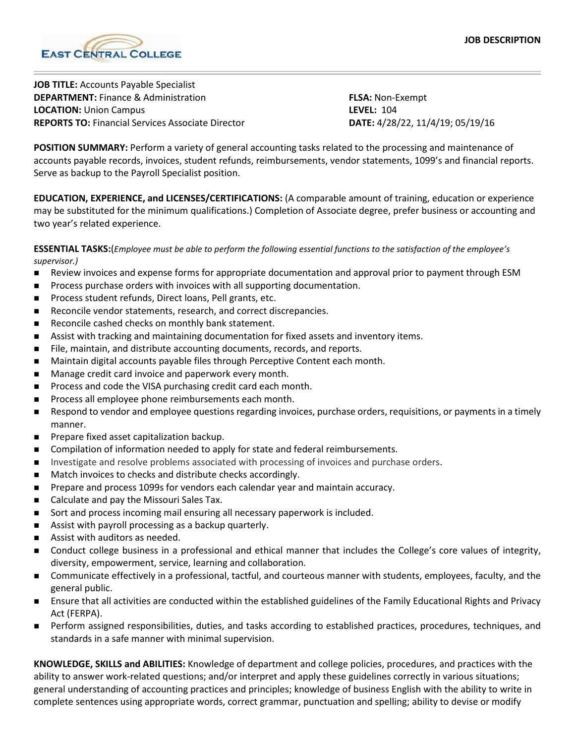

**JOB TITLE:** Accounts Payable Specialist **DEPARTMENT:** Finance & Administration **FLSA:** Non-Exempt **LOCATION:** Union Campus **LEVEL:** 104 **REPORTS TO:** Financial Services Associate Director **DATE:** 4/28/22, 11/4/19; 05/19/16

**POSITION SUMMARY:** Perform a variety of general accounting tasks related to the processing and maintenance of accounts payable records, invoices, student refunds, reimbursements, vendor statements, 1099's and financial reports. Serve as backup to the Payroll Specialist position.

**EDUCATION, EXPERIENCE, and LICENSES/CERTIFICATIONS:** (A comparable amount of training, education or experience may be substituted for the minimum qualifications.) Completion of Associate degree, prefer business or accounting and two year's related experience.

**ESSENTIAL TASKS:**(*Employee must be able to perform the following essential functions to the satisfaction of the employee's supervisor.)*

- **Review invoices and expense forms for appropriate documentation and approval prior to payment through ESM**
- **Process purchase orders with invoices with all supporting documentation.**
- Process student refunds, Direct loans, Pell grants, etc.
- Reconcile vendor statements, research, and correct discrepancies.
- Reconcile cashed checks on monthly bank statement.
- **B** Assist with tracking and maintaining documentation for fixed assets and inventory items.
- **File, maintain, and distribute accounting documents, records, and reports.**
- **Maintain digital accounts payable files through Perceptive Content each month.**
- **Manage credit card invoice and paperwork every month.**
- Process and code the VISA purchasing credit card each month.
- Process all employee phone reimbursements each month.
- Respond to vendor and employee questions regarding invoices, purchase orders, requisitions, or payments in a timely manner.
- **Prepare fixed asset capitalization backup.**
- **Compilation of information needed to apply for state and federal reimbursements.**
- **Investigate and resolve problems associated with processing of invoices and purchase orders.**
- Match invoices to checks and distribute checks accordingly.
- **Prepare and process 1099s for vendors each calendar year and maintain accuracy.**
- Calculate and pay the Missouri Sales Tax.
- Sort and process incoming mail ensuring all necessary paperwork is included.
- Assist with payroll processing as a backup quarterly.
- Assist with auditors as needed.
- Conduct college business in a professional and ethical manner that includes the College's core values of integrity, diversity, empowerment, service, learning and collaboration.
- Communicate effectively in a professional, tactful, and courteous manner with students, employees, faculty, and the general public.
- Ensure that all activities are conducted within the established guidelines of the Family Educational Rights and Privacy Act (FERPA).
- Perform assigned responsibilities, duties, and tasks according to established practices, procedures, techniques, and standards in a safe manner with minimal supervision.

**KNOWLEDGE, SKILLS and ABILITIES:** Knowledge of department and college policies, procedures, and practices with the ability to answer work-related questions; and/or interpret and apply these guidelines correctly in various situations; general understanding of accounting practices and principles; knowledge of business English with the ability to write in complete sentences using appropriate words, correct grammar, punctuation and spelling; ability to devise or modify